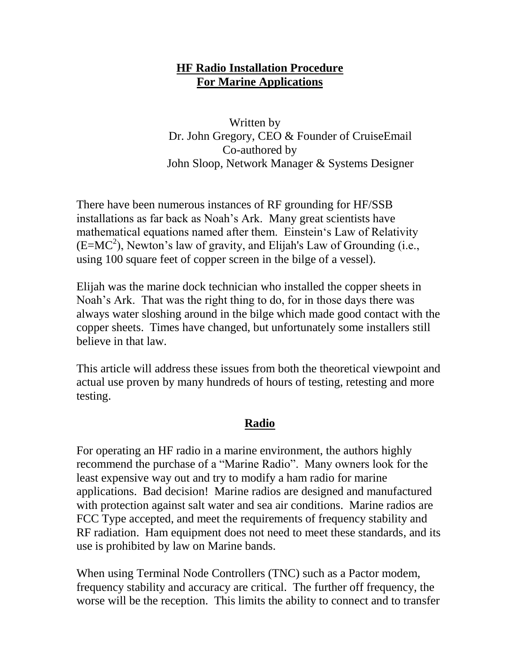#### **HF Radio Installation Procedure For Marine Applications**

Written by Dr. John Gregory, CEO & Founder of CruiseEmail Co-authored by John Sloop, Network Manager & Systems Designer

There have been numerous instances of RF grounding for HF/SSB installations as far back as Noah"s Ark. Many great scientists have mathematical equations named after them. Einstein"s Law of Relativity  $(E=MC<sup>2</sup>)$ , Newton's law of gravity, and Elijah's Law of Grounding (i.e., using 100 square feet of copper screen in the bilge of a vessel).

Elijah was the marine dock technician who installed the copper sheets in Noah"s Ark. That was the right thing to do, for in those days there was always water sloshing around in the bilge which made good contact with the copper sheets. Times have changed, but unfortunately some installers still believe in that law.

This article will address these issues from both the theoretical viewpoint and actual use proven by many hundreds of hours of testing, retesting and more testing.

### **Radio**

For operating an HF radio in a marine environment, the authors highly recommend the purchase of a "Marine Radio". Many owners look for the least expensive way out and try to modify a ham radio for marine applications. Bad decision! Marine radios are designed and manufactured with protection against salt water and sea air conditions. Marine radios are FCC Type accepted, and meet the requirements of frequency stability and RF radiation. Ham equipment does not need to meet these standards, and its use is prohibited by law on Marine bands.

When using Terminal Node Controllers (TNC) such as a Pactor modem, frequency stability and accuracy are critical. The further off frequency, the worse will be the reception. This limits the ability to connect and to transfer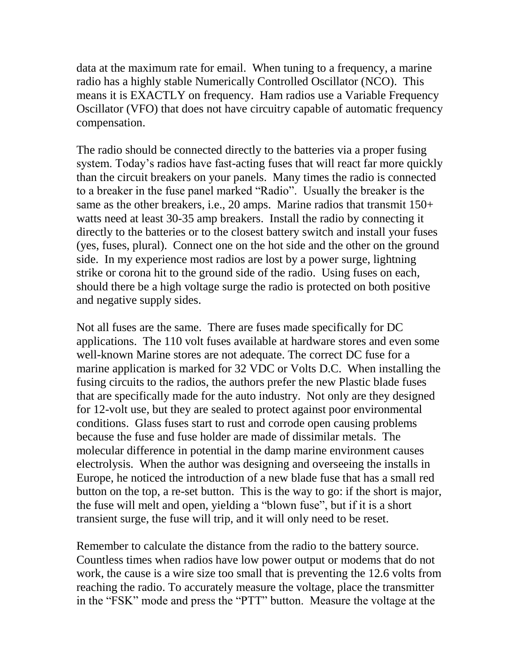data at the maximum rate for email. When tuning to a frequency, a marine radio has a highly stable Numerically Controlled Oscillator (NCO). This means it is EXACTLY on frequency. Ham radios use a Variable Frequency Oscillator (VFO) that does not have circuitry capable of automatic frequency compensation.

The radio should be connected directly to the batteries via a proper fusing system. Today"s radios have fast-acting fuses that will react far more quickly than the circuit breakers on your panels. Many times the radio is connected to a breaker in the fuse panel marked "Radio". Usually the breaker is the same as the other breakers, i.e., 20 amps. Marine radios that transmit 150+ watts need at least 30-35 amp breakers. Install the radio by connecting it directly to the batteries or to the closest battery switch and install your fuses (yes, fuses, plural). Connect one on the hot side and the other on the ground side. In my experience most radios are lost by a power surge, lightning strike or corona hit to the ground side of the radio. Using fuses on each, should there be a high voltage surge the radio is protected on both positive and negative supply sides.

Not all fuses are the same. There are fuses made specifically for DC applications. The 110 volt fuses available at hardware stores and even some well-known Marine stores are not adequate. The correct DC fuse for a marine application is marked for 32 VDC or Volts D.C. When installing the fusing circuits to the radios, the authors prefer the new Plastic blade fuses that are specifically made for the auto industry. Not only are they designed for 12-volt use, but they are sealed to protect against poor environmental conditions. Glass fuses start to rust and corrode open causing problems because the fuse and fuse holder are made of dissimilar metals. The molecular difference in potential in the damp marine environment causes electrolysis. When the author was designing and overseeing the installs in Europe, he noticed the introduction of a new blade fuse that has a small red button on the top, a re-set button. This is the way to go: if the short is major, the fuse will melt and open, yielding a "blown fuse", but if it is a short transient surge, the fuse will trip, and it will only need to be reset.

Remember to calculate the distance from the radio to the battery source. Countless times when radios have low power output or modems that do not work, the cause is a wire size too small that is preventing the 12.6 volts from reaching the radio. To accurately measure the voltage, place the transmitter in the "FSK" mode and press the "PTT" button. Measure the voltage at the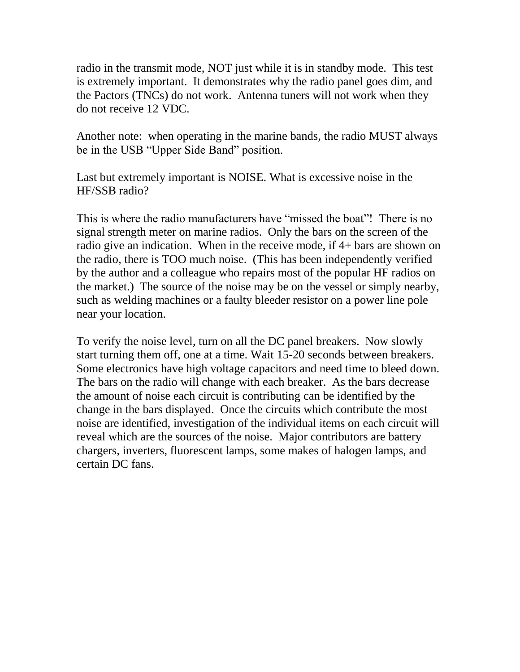radio in the transmit mode, NOT just while it is in standby mode. This test is extremely important. It demonstrates why the radio panel goes dim, and the Pactors (TNCs) do not work. Antenna tuners will not work when they do not receive 12 VDC.

Another note: when operating in the marine bands, the radio MUST always be in the USB "Upper Side Band" position.

Last but extremely important is NOISE. What is excessive noise in the HF/SSB radio?

This is where the radio manufacturers have "missed the boat"! There is no signal strength meter on marine radios. Only the bars on the screen of the radio give an indication. When in the receive mode, if 4+ bars are shown on the radio, there is TOO much noise. (This has been independently verified by the author and a colleague who repairs most of the popular HF radios on the market.) The source of the noise may be on the vessel or simply nearby, such as welding machines or a faulty bleeder resistor on a power line pole near your location.

To verify the noise level, turn on all the DC panel breakers. Now slowly start turning them off, one at a time. Wait 15-20 seconds between breakers. Some electronics have high voltage capacitors and need time to bleed down. The bars on the radio will change with each breaker. As the bars decrease the amount of noise each circuit is contributing can be identified by the change in the bars displayed. Once the circuits which contribute the most noise are identified, investigation of the individual items on each circuit will reveal which are the sources of the noise. Major contributors are battery chargers, inverters, fluorescent lamps, some makes of halogen lamps, and certain DC fans.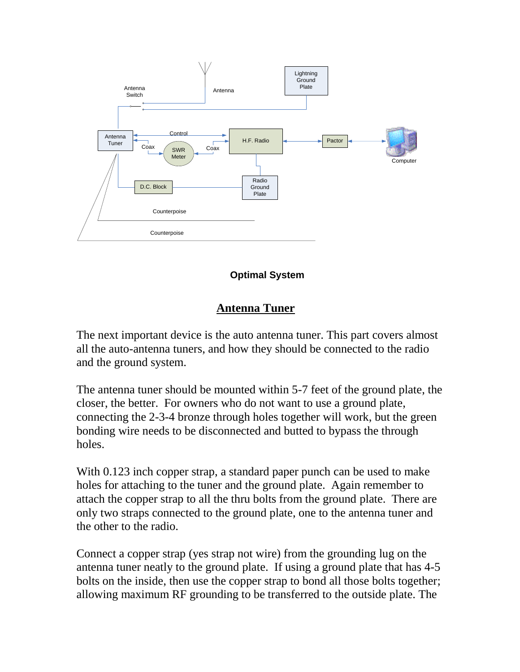

#### **Optimal System**

#### **Antenna Tuner**

The next important device is the auto antenna tuner. This part covers almost all the auto-antenna tuners, and how they should be connected to the radio and the ground system.

The antenna tuner should be mounted within 5-7 feet of the ground plate, the closer, the better. For owners who do not want to use a ground plate, connecting the 2-3-4 bronze through holes together will work, but the green bonding wire needs to be disconnected and butted to bypass the through holes.

With 0.123 inch copper strap, a standard paper punch can be used to make holes for attaching to the tuner and the ground plate. Again remember to attach the copper strap to all the thru bolts from the ground plate. There are only two straps connected to the ground plate, one to the antenna tuner and the other to the radio.

Connect a copper strap (yes strap not wire) from the grounding lug on the antenna tuner neatly to the ground plate. If using a ground plate that has 4-5 bolts on the inside, then use the copper strap to bond all those bolts together; allowing maximum RF grounding to be transferred to the outside plate. The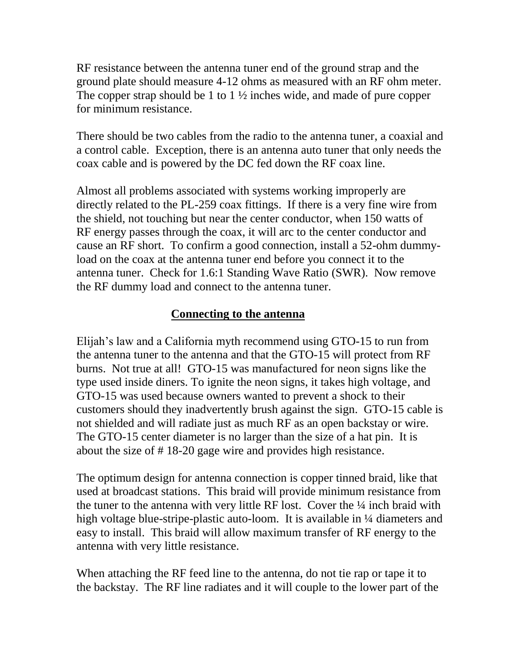RF resistance between the antenna tuner end of the ground strap and the ground plate should measure 4-12 ohms as measured with an RF ohm meter. The copper strap should be 1 to 1 ½ inches wide, and made of pure copper for minimum resistance.

There should be two cables from the radio to the antenna tuner, a coaxial and a control cable. Exception, there is an antenna auto tuner that only needs the coax cable and is powered by the DC fed down the RF coax line.

Almost all problems associated with systems working improperly are directly related to the PL-259 coax fittings. If there is a very fine wire from the shield, not touching but near the center conductor, when 150 watts of RF energy passes through the coax, it will arc to the center conductor and cause an RF short. To confirm a good connection, install a 52-ohm dummyload on the coax at the antenna tuner end before you connect it to the antenna tuner. Check for 1.6:1 Standing Wave Ratio (SWR). Now remove the RF dummy load and connect to the antenna tuner.

## **Connecting to the antenna**

Elijah"s law and a California myth recommend using GTO-15 to run from the antenna tuner to the antenna and that the GTO-15 will protect from RF burns. Not true at all! GTO-15 was manufactured for neon signs like the type used inside diners. To ignite the neon signs, it takes high voltage, and GTO-15 was used because owners wanted to prevent a shock to their customers should they inadvertently brush against the sign. GTO-15 cable is not shielded and will radiate just as much RF as an open backstay or wire. The GTO-15 center diameter is no larger than the size of a hat pin. It is about the size of # 18-20 gage wire and provides high resistance.

The optimum design for antenna connection is copper tinned braid, like that used at broadcast stations. This braid will provide minimum resistance from the tuner to the antenna with very little RF lost. Cover the ¼ inch braid with high voltage blue-stripe-plastic auto-loom. It is available in  $\frac{1}{4}$  diameters and easy to install. This braid will allow maximum transfer of RF energy to the antenna with very little resistance.

When attaching the RF feed line to the antenna, do not tie rap or tape it to the backstay. The RF line radiates and it will couple to the lower part of the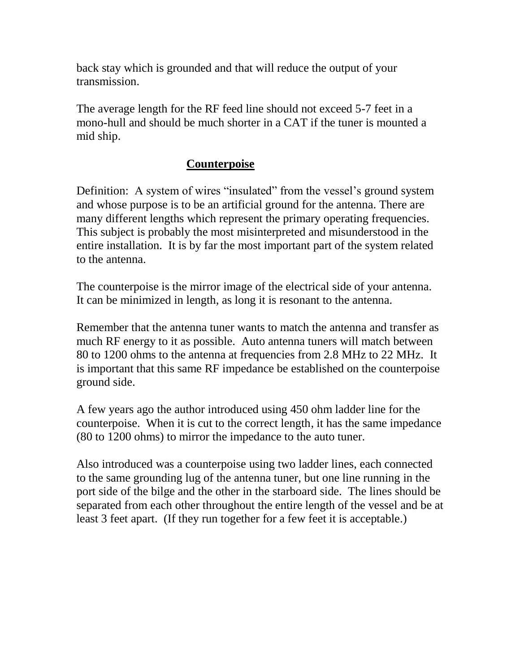back stay which is grounded and that will reduce the output of your transmission.

The average length for the RF feed line should not exceed 5-7 feet in a mono-hull and should be much shorter in a CAT if the tuner is mounted a mid ship.

## **Counterpoise**

Definition: A system of wires "insulated" from the vessel's ground system and whose purpose is to be an artificial ground for the antenna. There are many different lengths which represent the primary operating frequencies. This subject is probably the most misinterpreted and misunderstood in the entire installation. It is by far the most important part of the system related to the antenna.

The counterpoise is the mirror image of the electrical side of your antenna. It can be minimized in length, as long it is resonant to the antenna.

Remember that the antenna tuner wants to match the antenna and transfer as much RF energy to it as possible. Auto antenna tuners will match between 80 to 1200 ohms to the antenna at frequencies from 2.8 MHz to 22 MHz. It is important that this same RF impedance be established on the counterpoise ground side.

A few years ago the author introduced using 450 ohm ladder line for the counterpoise. When it is cut to the correct length, it has the same impedance (80 to 1200 ohms) to mirror the impedance to the auto tuner.

Also introduced was a counterpoise using two ladder lines, each connected to the same grounding lug of the antenna tuner, but one line running in the port side of the bilge and the other in the starboard side. The lines should be separated from each other throughout the entire length of the vessel and be at least 3 feet apart. (If they run together for a few feet it is acceptable.)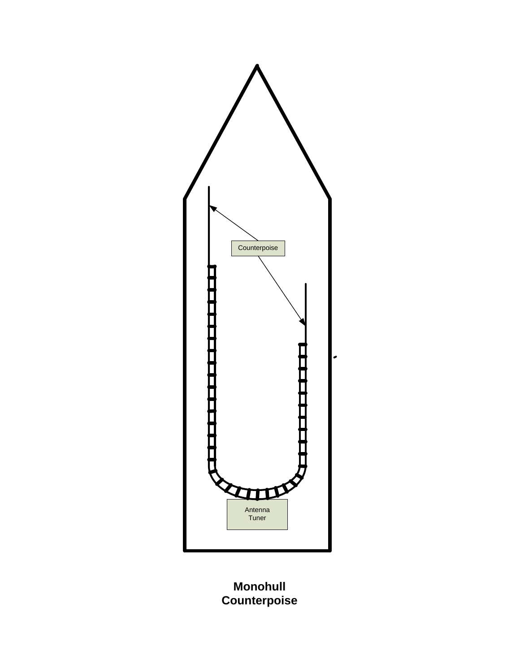

**Monohull Counterpoise**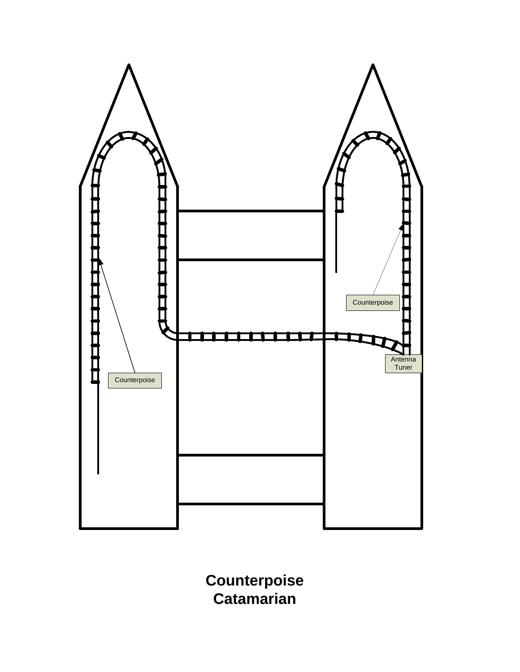

**Counterpoise Catamarian**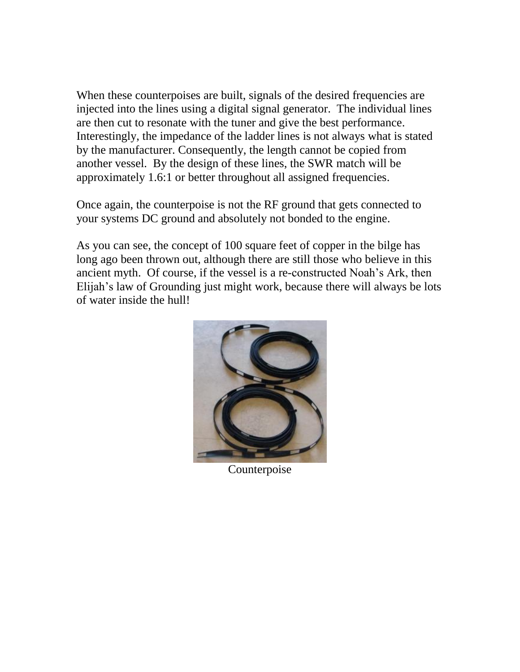When these counterpoises are built, signals of the desired frequencies are injected into the lines using a digital signal generator. The individual lines are then cut to resonate with the tuner and give the best performance. Interestingly, the impedance of the ladder lines is not always what is stated by the manufacturer. Consequently, the length cannot be copied from another vessel. By the design of these lines, the SWR match will be approximately 1.6:1 or better throughout all assigned frequencies.

Once again, the counterpoise is not the RF ground that gets connected to your systems DC ground and absolutely not bonded to the engine.

As you can see, the concept of 100 square feet of copper in the bilge has long ago been thrown out, although there are still those who believe in this ancient myth. Of course, if the vessel is a re-constructed Noah"s Ark, then Elijah"s law of Grounding just might work, because there will always be lots of water inside the hull!



Counterpoise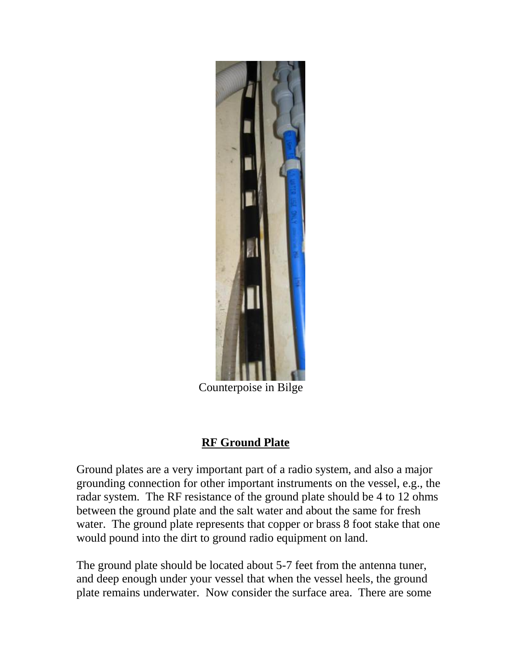

Counterpoise in Bilge

# **RF Ground Plate**

Ground plates are a very important part of a radio system, and also a major grounding connection for other important instruments on the vessel, e.g., the radar system. The RF resistance of the ground plate should be 4 to 12 ohms between the ground plate and the salt water and about the same for fresh water. The ground plate represents that copper or brass 8 foot stake that one would pound into the dirt to ground radio equipment on land.

The ground plate should be located about 5-7 feet from the antenna tuner, and deep enough under your vessel that when the vessel heels, the ground plate remains underwater. Now consider the surface area. There are some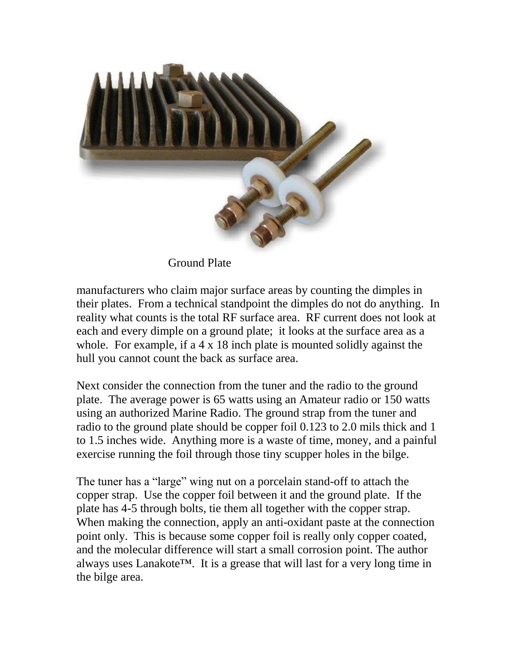

Ground Plate

manufacturers who claim major surface areas by counting the dimples in their plates. From a technical standpoint the dimples do not do anything. In reality what counts is the total RF surface area. RF current does not look at each and every dimple on a ground plate; it looks at the surface area as a whole. For example, if a 4 x 18 inch plate is mounted solidly against the hull you cannot count the back as surface area.

Next consider the connection from the tuner and the radio to the ground plate. The average power is 65 watts using an Amateur radio or 150 watts using an authorized Marine Radio. The ground strap from the tuner and radio to the ground plate should be copper foil 0.123 to 2.0 mils thick and 1 to 1.5 inches wide. Anything more is a waste of time, money, and a painful exercise running the foil through those tiny scupper holes in the bilge.

The tuner has a "large" wing nut on a porcelain stand-off to attach the copper strap. Use the copper foil between it and the ground plate. If the plate has 4-5 through bolts, tie them all together with the copper strap. When making the connection, apply an anti-oxidant paste at the connection point only. This is because some copper foil is really only copper coated, and the molecular difference will start a small corrosion point. The author always uses Lanakote™. It is a grease that will last for a very long time in the bilge area.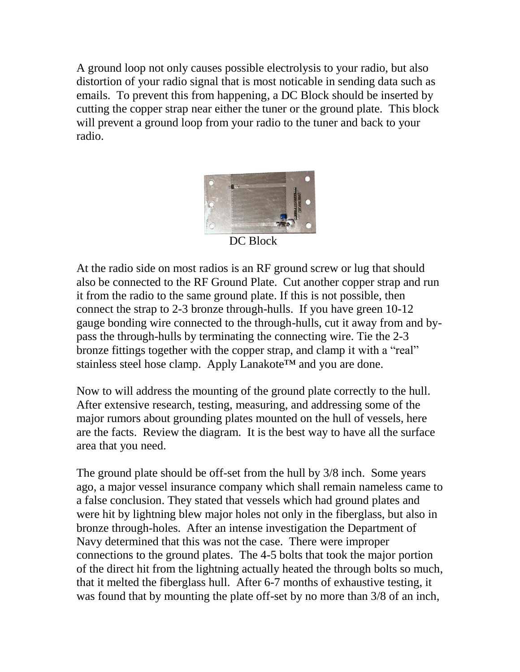A ground loop not only causes possible electrolysis to your radio, but also distortion of your radio signal that is most noticable in sending data such as emails. To prevent this from happening, a DC Block should be inserted by cutting the copper strap near either the tuner or the ground plate. This block will prevent a ground loop from your radio to the tuner and back to your radio.



DC Block

At the radio side on most radios is an RF ground screw or lug that should also be connected to the RF Ground Plate. Cut another copper strap and run it from the radio to the same ground plate. If this is not possible, then connect the strap to 2-3 bronze through-hulls. If you have green 10-12 gauge bonding wire connected to the through-hulls, cut it away from and bypass the through-hulls by terminating the connecting wire. Tie the 2-3 bronze fittings together with the copper strap, and clamp it with a "real" stainless steel hose clamp. Apply Lanakote<sup>™</sup> and you are done.

Now to will address the mounting of the ground plate correctly to the hull. After extensive research, testing, measuring, and addressing some of the major rumors about grounding plates mounted on the hull of vessels, here are the facts. Review the diagram. It is the best way to have all the surface area that you need.

The ground plate should be off-set from the hull by 3/8 inch. Some years ago, a major vessel insurance company which shall remain nameless came to a false conclusion. They stated that vessels which had ground plates and were hit by lightning blew major holes not only in the fiberglass, but also in bronze through-holes. After an intense investigation the Department of Navy determined that this was not the case. There were improper connections to the ground plates. The 4-5 bolts that took the major portion of the direct hit from the lightning actually heated the through bolts so much, that it melted the fiberglass hull. After 6-7 months of exhaustive testing, it was found that by mounting the plate off-set by no more than 3/8 of an inch,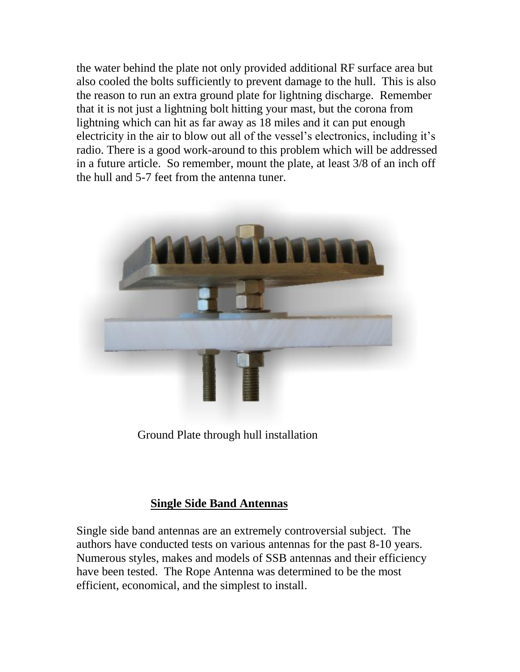the water behind the plate not only provided additional RF surface area but also cooled the bolts sufficiently to prevent damage to the hull. This is also the reason to run an extra ground plate for lightning discharge. Remember that it is not just a lightning bolt hitting your mast, but the corona from lightning which can hit as far away as 18 miles and it can put enough electricity in the air to blow out all of the vessel's electronics, including it's radio. There is a good work-around to this problem which will be addressed in a future article. So remember, mount the plate, at least 3/8 of an inch off the hull and 5-7 feet from the antenna tuner.



Ground Plate through hull installation

## **Single Side Band Antennas**

Single side band antennas are an extremely controversial subject. The authors have conducted tests on various antennas for the past 8-10 years. Numerous styles, makes and models of SSB antennas and their efficiency have been tested. The Rope Antenna was determined to be the most efficient, economical, and the simplest to install.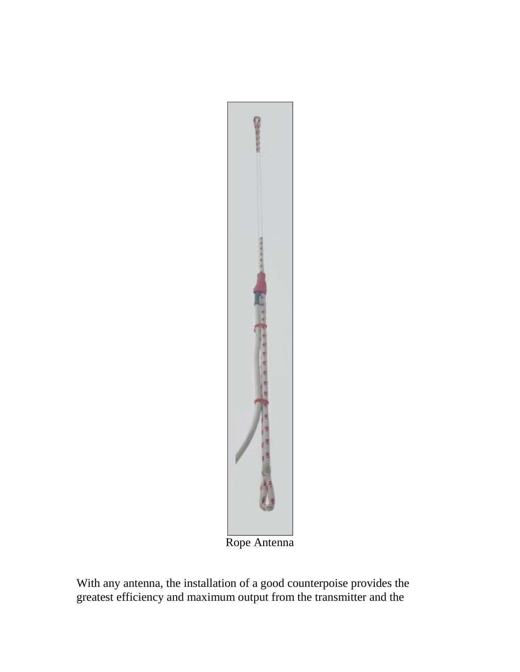

Rope Antenna

With any antenna, the installation of a good counterpoise provides the greatest efficiency and maximum output from the transmitter and the